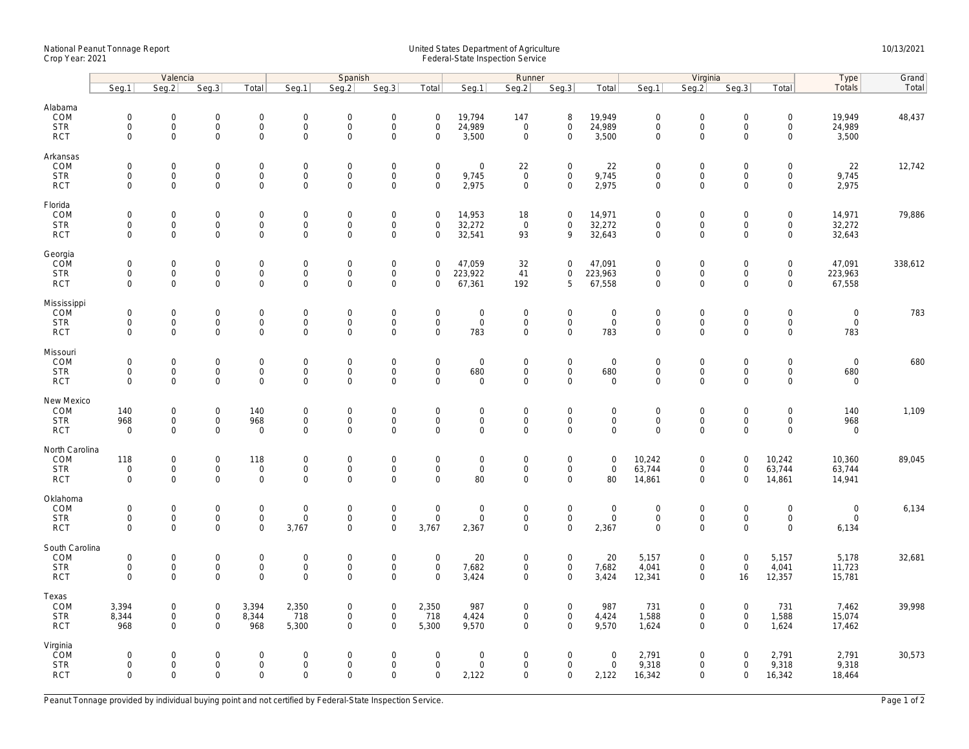## National Peanut Tonnage Report United States Department of Agriculture 10/13/2021<br>Crop Year: 2021 Federal-State Inspection Service

|                                                    | Valencia                                  |                                                            |                                                   |                                                           | Spanish                                         |                                                   |                                                                   |                                                           | Runner                                              |                                           |                                                           |                                            |                                                   | Virginia                                           | Type                                              | Grand                                                      |                                     |         |
|----------------------------------------------------|-------------------------------------------|------------------------------------------------------------|---------------------------------------------------|-----------------------------------------------------------|-------------------------------------------------|---------------------------------------------------|-------------------------------------------------------------------|-----------------------------------------------------------|-----------------------------------------------------|-------------------------------------------|-----------------------------------------------------------|--------------------------------------------|---------------------------------------------------|----------------------------------------------------|---------------------------------------------------|------------------------------------------------------------|-------------------------------------|---------|
|                                                    | Seq.1                                     | Seg.2                                                      | Seq.3                                             | Total                                                     | Seg.1                                           | Seq.2                                             | Seq.3                                                             | Total                                                     | Seg.1                                               | Seg.2                                     | Seq.3                                                     | Total                                      | Seq.1                                             | Seq.2                                              | Seq.3                                             | Total                                                      | Totals                              | Total   |
| Alabama<br>COM<br><b>STR</b><br><b>RCT</b>         | $\mathbf 0$<br>$\mathbf 0$<br>$\mathbf 0$ | $\mathbf 0$<br>0<br>$\mathbf 0$                            | $\mathbf 0$<br>$\mathsf{O}$<br>$\mathbf 0$        | $\mathbf 0$<br>$\mathsf{O}\xspace$<br>$\mathbf 0$         | $\mathbf 0$<br>$\mathsf{O}$<br>$\mathsf{O}$     | $\mathbf 0$<br>$\mathsf 0$<br>$\mathbf 0$         | $\mathbf 0$<br>$\mathsf{O}\xspace$<br>$\mathbf 0$                 | $\mathbf 0$<br>$\mathsf{O}\xspace$<br>$\mathbf 0$         | 19,794<br>24,989<br>3,500                           | 147<br>$\mathbf 0$<br>$\mathbf 0$         | 8<br>$\mathsf{O}\xspace$<br>$\mathbf 0$                   | 19,949<br>24,989<br>3,500                  | $\mathbf 0$<br>$\mathsf{O}\xspace$<br>$\mathbf 0$ | $\mathbf 0$<br>$\mathsf{O}$<br>$\mathbf 0$         | $\mathbf 0$<br>$\mathsf 0$<br>$\mathbf 0$         | $\mathbf 0$<br>$\mathsf{O}\xspace$<br>$\mathsf{O}$         | 19,949<br>24,989<br>3,500           | 48,437  |
| Arkansas<br>COM<br><b>STR</b><br><b>RCT</b>        | $\mathbf 0$<br>$\mathbf 0$<br>$\mathbf 0$ | $\mathsf{O}\xspace$<br>$\mathbf 0$<br>$\mathbf{O}$         | $\mathbf 0$<br>$\mathbf 0$<br>$\mathbf 0$         | $\mathsf{O}\xspace$<br>$\mathbf 0$<br>$\mathbf{0}$        | $\mathbf 0$<br>$\mathbf 0$<br>$\mathbf 0$       | $\mathbf 0$<br>$\mathbf 0$<br>$\mathbf 0$         | $\mathsf{O}\xspace$<br>$\mathsf{O}\xspace$<br>$\mathbf 0$         | $\mathsf 0$<br>$\mathsf{O}\xspace$<br>$\mathbf 0$         | $\mathsf{O}\xspace$<br>9,745<br>2,975               | 22<br>$\overline{0}$<br>$\mathbf 0$       | $\mathsf{O}\xspace$<br>$\mathsf{O}\xspace$<br>$\mathbf 0$ | 22<br>9,745<br>2,975                       | $\mathbf 0$<br>$\mathbf 0$<br>$\mathbf 0$         | $\mathsf{O}\xspace$<br>$\mathbf 0$<br>$\mathbf 0$  | $\mathsf{O}\xspace$<br>$\mathbf 0$<br>$\mathbf 0$ | $\mathsf{O}\xspace$<br>$\mathsf{O}\xspace$<br>$\mathbf{0}$ | 22<br>9,745<br>2,975                | 12,742  |
| Florida<br>COM<br><b>STR</b><br><b>RCT</b>         | $\mathbf 0$<br>$\mathbf 0$<br>$\mathbf 0$ | $\mathsf{O}\xspace$<br>$\mathbf 0$<br>$\mathbf 0$          | $\mathbf 0$<br>$\mathbf 0$<br>$\mathbf 0$         | $\mathsf{O}\xspace$<br>$\mathbf 0$<br>$\mathbf 0$         | $\boldsymbol{0}$<br>$\mathbf 0$<br>$\mathsf{O}$ | $\mathbf 0$<br>$\mathsf{O}\xspace$<br>$\mathbf 0$ | $\mathsf{O}\xspace$<br>$\mathsf{O}\xspace$<br>$\mathbf 0$         | $\mathsf{O}\xspace$<br>$\mathsf{O}\xspace$<br>$\mathbf 0$ | 14,953<br>32,272<br>32,541                          | 18<br>$\mathbf 0$<br>93                   | $\mathbf 0$<br>$\mathbf 0$<br>9                           | 14,971<br>32,272<br>32,643                 | $\mathbf 0$<br>$\mathbf 0$<br>$\mathsf{O}\xspace$ | $\mathsf{O}\xspace$<br>$\mathbf 0$<br>$\mathbf 0$  | $\mathsf{O}\xspace$<br>$\mathbf 0$<br>$\mathbf 0$ | $\mathsf{O}\xspace$<br>$\mathbf 0$<br>$\mathbf 0$          | 14,971<br>32,272<br>32,643          | 79,886  |
| Georgia<br>COM<br><b>STR</b><br><b>RCT</b>         | $\mathbf 0$<br>$\mathbf 0$<br>$\mathbf 0$ | $\mathbf 0$<br>0<br>$\mathbf{0}$                           | $\mathbf 0$<br>$\mathbf 0$<br>$\mathbf 0$         | $\mathbf 0$<br>$\mathbf 0$<br>$\mathbf 0$                 | $\mathsf{O}$<br>$\mathbf 0$<br>$\mathbf 0$      | $\mathbf 0$<br>$\mathbf 0$<br>$\mathbf 0$         | $\mathsf{O}\xspace$<br>$\mathsf{O}\xspace$<br>$\mathbf 0$         | $\mathbf 0$<br>$\mathbf 0$<br>$\mathbf 0$                 | 47,059<br>223,922<br>67,361                         | 32<br>41<br>192                           | $\mathbf 0$<br>$\mathbf 0$<br>5                           | 47,091<br>223,963<br>67,558                | $\mathbf 0$<br>$\mathsf{O}\xspace$<br>$\mathbf 0$ | $\mathbf 0$<br>$\mathsf{O}$<br>$\mathbf 0$         | $\mathbf 0$<br>$\mathbf 0$<br>$\mathbf 0$         | $\mathsf{O}\xspace$<br>$\mathsf{O}\xspace$<br>$\mathbf 0$  | 47,091<br>223,963<br>67,558         | 338,612 |
| Mississippi<br>COM<br><b>STR</b><br><b>RCT</b>     | $\mathbf 0$<br>$\mathbf 0$<br>$\mathbf 0$ | $\mathsf{O}\xspace$<br>0<br>$\mathbf 0$                    | $\mathbf 0$<br>$\mathbf 0$<br>$\mathbf 0$         | $\mathsf{O}\xspace$<br>$\mathbf 0$<br>$\mathbf 0$         | $\mathbf 0$<br>$\mathbf 0$<br>$\mathbf 0$       | $\mathbf 0$<br>$\mathbf 0$<br>$\mathbf 0$         | $\mathsf{O}\xspace$<br>$\mathsf{O}\xspace$<br>$\mathbf 0$         | $\mathsf 0$<br>$\mathbf 0$<br>$\mathbf 0$                 | $\mathsf{O}\xspace$<br>$\mathsf{O}\xspace$<br>783   | $\mathsf 0$<br>$\mathbf 0$<br>$\mathbf 0$ | $\mathbf 0$<br>$\mathsf{O}\xspace$<br>$\mathbf 0$         | $\mathbf 0$<br>$\mathbf 0$<br>783          | $\mathbf 0$<br>$\mathsf{O}\xspace$<br>$\mathbf 0$ | $\mathbf 0$<br>$\mathsf{O}$<br>$\mathbf 0$         | $\mathsf 0$<br>$\mathbf 0$<br>$\mathbf 0$         | $\mathsf{O}\xspace$<br>$\mathsf{O}\xspace$<br>$\mathbf{0}$ | $\mathbf 0$<br>$\mathbf 0$<br>783   | 783     |
| Missouri<br>COM<br><b>STR</b><br><b>RCT</b>        | $\mathbf 0$<br>$\mathbf 0$<br>$\mathbf 0$ | $\mathsf{O}\xspace$<br>$\mathbf{O}$<br>$\mathsf{O}\xspace$ | $\mathbf 0$<br>$\mathbf 0$<br>0                   | $\mathsf{O}\xspace$<br>$\mathbf{0}$<br>$\mathbf 0$        | $\mathbf 0$<br>$\mathsf{O}$<br>$\mathsf 0$      | $\mathbf 0$<br>$\mathbf 0$<br>$\mathsf 0$         | $\mathbf 0$<br>$\mathbf 0$<br>$\mathsf{O}\xspace$                 | $\mathsf 0$<br>$\mathbf 0$<br>$\mathsf 0$                 | $\mathsf{O}\xspace$<br>680<br>$\mathsf{O}\xspace$   | $\mathbf 0$<br>$\mathbf 0$<br>0           | $\mathsf{O}\xspace$<br>$\mathbf{0}$<br>$\mathbf 0$        | $\mathbf 0$<br>680<br>$\mathsf 0$          | $\mathbf 0$<br>$\mathbf 0$<br>$\mathsf{O}\xspace$ | $\mathbf 0$<br>$\mathsf{O}$<br>$\mathsf{O}\xspace$ | $\mathsf 0$<br>$\mathbf 0$<br>$\mathbf 0$         | $\mathsf{O}\xspace$<br>$\mathbf{0}$<br>$\mathbf 0$         | $\mathbf 0$<br>680<br>$\mathbf 0$   | 680     |
| New Mexico<br>COM<br><b>STR</b><br><b>RCT</b>      | 140<br>968<br>$\mathbf 0$                 | $\mathsf{O}\xspace$<br>$\mathsf{O}$<br>$\mathbf 0$         | $\mathbf 0$<br>$\mathsf{O}\xspace$<br>$\mathbf 0$ | 140<br>968<br>$\overline{0}$                              | $\mathbf 0$<br>$\mathsf{O}$<br>$\mathbf 0$      | $\mathbf 0$<br>$\mathsf{O}\xspace$<br>$\mathbf 0$ | $\mathsf{O}\xspace$<br>$\mathsf{O}\xspace$<br>$\mathsf{O}\xspace$ | $\mathbf 0$<br>$\mathbf 0$<br>$\Omega$                    | $\mathsf{O}\xspace$<br>$\mathsf{O}$<br>$\mathbf 0$  | $\mathbf 0$<br>$\mathsf{O}\xspace$<br>0   | $\mathbf 0$<br>$\mathbf 0$<br>$\mathbf 0$                 | $\mathbf 0$<br>$\mathsf{O}$<br>$\mathbf 0$ | $\mathbf 0$<br>$\mathsf{O}\xspace$<br>$\mathbf 0$ | $\mathbf 0$<br>$\mathsf{O}$<br>$\mathbf 0$         | $\mathbf 0$<br>$\mathbf 0$<br>$\Omega$            | $\mathsf{O}\xspace$<br>$\mathsf{O}$<br>$\mathbf 0$         | 140<br>968<br>$\mathbf 0$           | 1,109   |
| North Carolina<br>COM<br><b>STR</b><br><b>RCT</b>  | 118<br>$\mathbf 0$<br>$\mathbf 0$         | 0<br>$\mathbf 0$<br>$\mathbf 0$                            | $\mathsf{O}\xspace$<br>$\mathsf 0$<br>$\mathbf 0$ | 118<br>$\mathsf{O}\xspace$<br>$\mathsf{O}\xspace$         | $\boldsymbol{0}$<br>$\mathbf 0$<br>$\mathsf 0$  | $\mathbf 0$<br>$\mathsf 0$<br>$\mathbf 0$         | $\mathsf{O}\xspace$<br>$\mathsf{O}\xspace$<br>$\mathsf{O}\xspace$ | $\mathbf 0$<br>$\mathbf 0$<br>$\Omega$                    | $\mathsf{O}\xspace$<br>$\mathbf 0$<br>80            | $\mathbf 0$<br>$\mathbf 0$<br>$\mathbf 0$ | $\mathsf{O}\xspace$<br>$\mathbf 0$<br>$\mathbf 0$         | $\mathbf 0$<br>$\mathsf{O}$<br>80          | 10,242<br>63,744<br>14,861                        | $\mathbf 0$<br>$\mathbf 0$<br>$\mathbf 0$          | $\mathsf 0$<br>$\mathbf 0$<br>$\Omega$            | 10,242<br>63,744<br>14,861                                 | 10,360<br>63,744<br>14,941          | 89,045  |
| Oklahoma<br>COM<br><b>STR</b><br><b>RCT</b>        | $\mathbf 0$<br>$\mathbf 0$<br>$\Omega$    | 0<br>$\mathsf{O}$<br>$\mathbf 0$                           | $\mathbf 0$<br>$\mathbf 0$<br>$\mathbf 0$         | $\mathsf{O}\xspace$<br>$\mathbf 0$<br>$\mathbf 0$         | $\boldsymbol{0}$<br>$\mathbf 0$<br>3.767        | $\mathbf 0$<br>$\mathbf 0$<br>$\mathbf 0$         | $\mathsf{O}\xspace$<br>$\mathbf 0$<br>$\mathbf 0$                 | $\mathbf 0$<br>$\mathbf 0$<br>3,767                       | $\mathsf{O}\xspace$<br>$\mathbf 0$<br>2,367         | $\mathbf 0$<br>$\mathbf 0$<br>$\mathbf 0$ | $\overline{0}$<br>$\mathbf 0$<br>$\mathbf 0$              | $\boldsymbol{0}$<br>$\mathsf{O}$<br>2,367  | $\mathbf 0$<br>$\mathbf 0$<br>$\mathbf 0$         | $\mathbf 0$<br>$\mathsf{O}$<br>$\mathbf 0$         | $\mathbf 0$<br>$\mathsf 0$<br>$\Omega$            | $\mathsf{O}\xspace$<br>$\mathbf 0$<br>$\mathbf 0$          | $\mathbf 0$<br>$\mathbf 0$<br>6,134 | 6,134   |
| South Carolina<br>COM<br><b>STR</b><br><b>RCT</b>  | $\mathbf 0$<br>$\mathbf 0$<br>$\Omega$    | 0<br>$\mathbf 0$<br>$\mathbf{0}$                           | $\mathbf 0$<br>$\mathsf 0$<br>$\mathbf 0$         | $\mathsf{O}\xspace$<br>$\mathsf 0$<br>$\mathbf{0}$        | $\mathbf 0$<br>$\mathsf{O}$<br>$\mathbf{0}$     | $\mathbf 0$<br>$\mathsf 0$<br>$\mathbf 0$         | $\mathsf{O}\xspace$<br>$\mathsf{O}\xspace$<br>$\Omega$            | $\boldsymbol{0}$<br>$\mathsf 0$<br>$\Omega$               | 20<br>7,682<br>3,424                                | $\mathbf 0$<br>$\mathbf 0$<br>$\mathbf 0$ | $\mathsf 0$<br>$\mathsf 0$<br>$\mathbf{0}$                | 20<br>7,682<br>3,424                       | 5,157<br>4,041<br>12,341                          | $\mathbf 0$<br>$\mathbf 0$<br>$\mathbf 0$          | $\mathbf 0$<br>$\mathsf 0$<br>16                  | 5,157<br>4,041<br>12,357                                   | 5,178<br>11,723<br>15,781           | 32,681  |
| Texas<br>COM<br><b>STR</b><br><b>RCT</b>           | 3,394<br>8,344<br>968                     | 0<br>$\mathbf 0$<br>$\mathbf{0}$                           | $\mathbf 0$<br>$\mathbf 0$<br>$\mathbf 0$         | 3,394<br>8,344<br>968                                     | 2,350<br>718<br>5,300                           | $\mathbf 0$<br>$\mathsf 0$<br>$\mathbf 0$         | $\mathsf{O}\xspace$<br>$\mathsf{O}\xspace$<br>$\Omega$            | 2,350<br>718<br>5,300                                     | 987<br>4,424<br>9,570                               | $\mathbf 0$<br>0<br>0                     | $\mathsf 0$<br>$\mathsf{O}\xspace$<br>$\mathbf{0}$        | 987<br>4,424<br>9,570                      | 731<br>1,588<br>1,624                             | $\mathbf{0}$<br>$\mathbf 0$<br>$\mathbf 0$         | $\mathbf 0$<br>$\mathsf 0$<br>$\Omega$            | 731<br>1,588<br>1,624                                      | 7,462<br>15,074<br>17,462           | 39,998  |
| Virginia<br><b>ČOM</b><br><b>STR</b><br><b>RCT</b> | $\mathbf 0$<br>$\mathbf 0$<br>$\mathbf 0$ | $\mathbf{0}$<br>$\mathsf{O}\xspace$<br>$\mathbf 0$         | $\mathbf 0$<br>$\mathbf 0$<br>$\mathbf 0$         | $\mathsf{O}\xspace$<br>$\mathsf{O}\xspace$<br>$\mathbf 0$ | $\mathbf 0$<br>$\mathsf{O}$<br>$\mathbf 0$      | $\mathbf 0$<br>$\mathbf 0$<br>$\mathbf 0$         | $\mathbf 0$<br>$\mathsf{O}\xspace$<br>$\mathbf 0$                 | $\mathbf 0$<br>$\mathsf{O}\xspace$<br>$\mathbf 0$         | $\mathsf{O}\xspace$<br>$\mathsf{O}\xspace$<br>2,122 | $\mathbf 0$<br>$\mathbf 0$<br>$\mathbf 0$ | $\mathsf{O}\xspace$<br>$\mathsf{O}\xspace$<br>$\mathbf 0$ | $\mathbf 0$<br>$\mathsf{O}$<br>2,122       | 2,791<br>9,318<br>16,342                          | $\mathbf{0}$<br>$\mathbf 0$<br>$\mathbf 0$         | $\mathbf 0$<br>$\mathbf 0$<br>$\mathbf 0$         | 2,791<br>9,318<br>16,342                                   | 2,791<br>9,318<br>18,464            | 30,573  |

Peanut Tonnage provided by individual buying point and not certified by Federal-State Inspection Service. Page 1 of 2